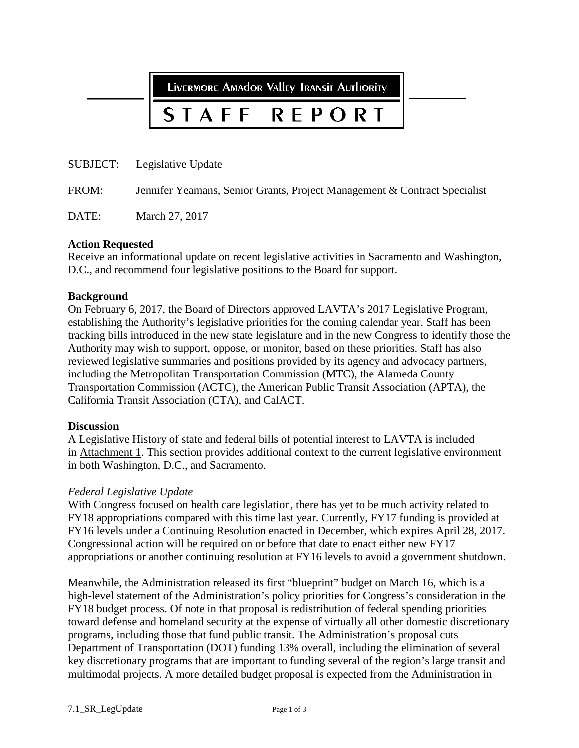LIVERMORE AMAdOR VAlley TRANSIT AUTHORITY

#### **REPORT STAFF**

|       | SUBJECT: Legislative Update                                               |
|-------|---------------------------------------------------------------------------|
| FROM: | Jennifer Yeamans, Senior Grants, Project Management & Contract Specialist |
| DATE: | March 27, 2017                                                            |

#### **Action Requested**

Receive an informational update on recent legislative activities in Sacramento and Washington, D.C., and recommend four legislative positions to the Board for support.

#### **Background**

On February 6, 2017, the Board of Directors approved LAVTA's 2017 Legislative Program, establishing the Authority's legislative priorities for the coming calendar year. Staff has been tracking bills introduced in the new state legislature and in the new Congress to identify those the Authority may wish to support, oppose, or monitor, based on these priorities. Staff has also reviewed legislative summaries and positions provided by its agency and advocacy partners, including the Metropolitan Transportation Commission (MTC), the Alameda County Transportation Commission (ACTC), the American Public Transit Association (APTA), the California Transit Association (CTA), and CalACT.

#### **Discussion**

A Legislative History of state and federal bills of potential interest to LAVTA is included in Attachment 1. This section provides additional context to the current legislative environment in both Washington, D.C., and Sacramento.

#### *Federal Legislative Update*

With Congress focused on health care legislation, there has yet to be much activity related to FY18 appropriations compared with this time last year. Currently, FY17 funding is provided at FY16 levels under a Continuing Resolution enacted in December, which expires April 28, 2017. Congressional action will be required on or before that date to enact either new FY17 appropriations or another continuing resolution at FY16 levels to avoid a government shutdown.

Meanwhile, the Administration released its first "blueprint" budget on March 16, which is a high-level statement of the Administration's policy priorities for Congress's consideration in the FY18 budget process. Of note in that proposal is redistribution of federal spending priorities toward defense and homeland security at the expense of virtually all other domestic discretionary programs, including those that fund public transit. The Administration's proposal cuts Department of Transportation (DOT) funding 13% overall, including the elimination of several key discretionary programs that are important to funding several of the region's large transit and multimodal projects. A more detailed budget proposal is expected from the Administration in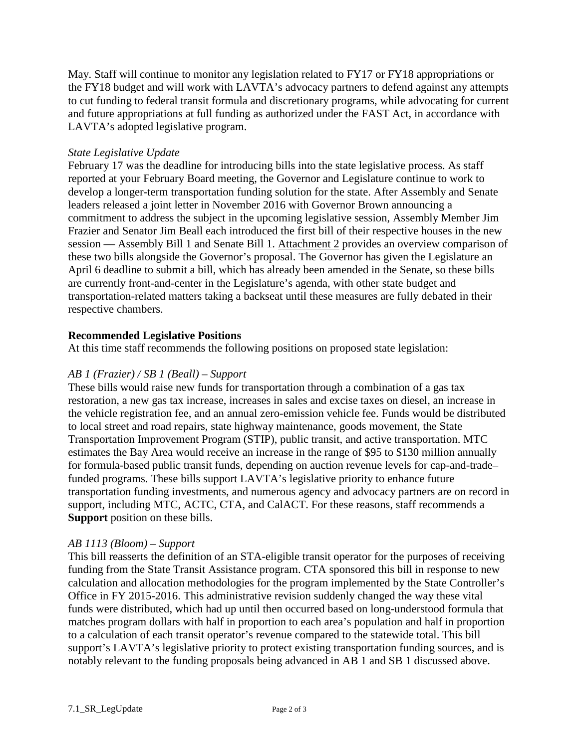May. Staff will continue to monitor any legislation related to FY17 or FY18 appropriations or the FY18 budget and will work with LAVTA's advocacy partners to defend against any attempts to cut funding to federal transit formula and discretionary programs, while advocating for current and future appropriations at full funding as authorized under the FAST Act, in accordance with LAVTA's adopted legislative program.

#### *State Legislative Update*

February 17 was the deadline for introducing bills into the state legislative process. As staff reported at your February Board meeting, the Governor and Legislature continue to work to develop a longer-term transportation funding solution for the state. After Assembly and Senate leaders released a joint letter in November 2016 with Governor Brown announcing a commitment to address the subject in the upcoming legislative session, Assembly Member Jim Frazier and Senator Jim Beall each introduced the first bill of their respective houses in the new session — Assembly Bill 1 and Senate Bill 1. Attachment 2 provides an overview comparison of these two bills alongside the Governor's proposal. The Governor has given the Legislature an April 6 deadline to submit a bill, which has already been amended in the Senate, so these bills are currently front-and-center in the Legislature's agenda, with other state budget and transportation-related matters taking a backseat until these measures are fully debated in their respective chambers.

#### **Recommended Legislative Positions**

At this time staff recommends the following positions on proposed state legislation:

#### *AB 1 (Frazier) / SB 1 (Beall) – Support*

These bills would raise new funds for transportation through a combination of a gas tax restoration, a new gas tax increase, increases in sales and excise taxes on diesel, an increase in the vehicle registration fee, and an annual zero-emission vehicle fee. Funds would be distributed to local street and road repairs, state highway maintenance, goods movement, the State Transportation Improvement Program (STIP), public transit, and active transportation. MTC estimates the Bay Area would receive an increase in the range of \$95 to \$130 million annually for formula-based public transit funds, depending on auction revenue levels for cap-and-trade– funded programs. These bills support LAVTA's legislative priority to enhance future transportation funding investments, and numerous agency and advocacy partners are on record in support, including MTC, ACTC, CTA, and CalACT. For these reasons, staff recommends a **Support** position on these bills.

#### *AB 1113 (Bloom) – Support*

This bill reasserts the definition of an STA-eligible transit operator for the purposes of receiving funding from the State Transit Assistance program. CTA sponsored this bill in response to new calculation and allocation methodologies for the program implemented by the State Controller's Office in FY 2015-2016. This administrative revision suddenly changed the way these vital funds were distributed, which had up until then occurred based on long-understood formula that matches program dollars with half in proportion to each area's population and half in proportion to a calculation of each transit operator's revenue compared to the statewide total. This bill support's LAVTA's legislative priority to protect existing transportation funding sources, and is notably relevant to the funding proposals being advanced in AB 1 and SB 1 discussed above.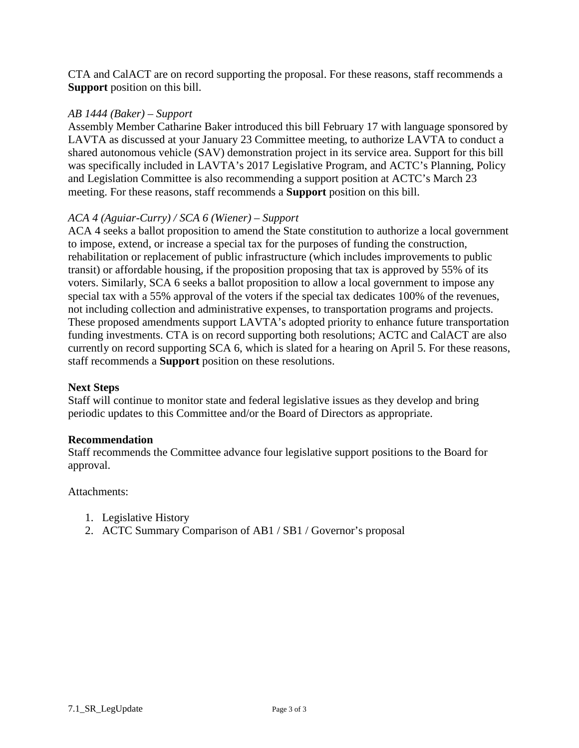CTA and CalACT are on record supporting the proposal. For these reasons, staff recommends a **Support** position on this bill.

#### *AB 1444 (Baker) – Support*

Assembly Member Catharine Baker introduced this bill February 17 with language sponsored by LAVTA as discussed at your January 23 Committee meeting, to authorize LAVTA to conduct a shared autonomous vehicle (SAV) demonstration project in its service area. Support for this bill was specifically included in LAVTA's 2017 Legislative Program, and ACTC's Planning, Policy and Legislation Committee is also recommending a support position at ACTC's March 23 meeting. For these reasons, staff recommends a **Support** position on this bill.

#### *ACA 4 (Aguiar-Curry) / SCA 6 (Wiener) – Support*

ACA 4 seeks a ballot proposition to amend the State constitution to authorize a local government to impose, extend, or increase a special tax for the purposes of funding the construction, rehabilitation or replacement of public infrastructure (which includes improvements to public transit) or affordable housing, if the proposition proposing that tax is approved by 55% of its voters. Similarly, SCA 6 seeks a ballot proposition to allow a local government to impose any special tax with a 55% approval of the voters if the special tax dedicates 100% of the revenues, not including collection and administrative expenses, to transportation programs and projects. These proposed amendments support LAVTA's adopted priority to enhance future transportation funding investments. CTA is on record supporting both resolutions; ACTC and CalACT are also currently on record supporting SCA 6, which is slated for a hearing on April 5. For these reasons, staff recommends a **Support** position on these resolutions.

#### **Next Steps**

Staff will continue to monitor state and federal legislative issues as they develop and bring periodic updates to this Committee and/or the Board of Directors as appropriate.

#### **Recommendation**

Staff recommends the Committee advance four legislative support positions to the Board for approval.

#### Attachments:

- 1. Legislative History
- 2. ACTC Summary Comparison of AB1 / SB1 / Governor's proposal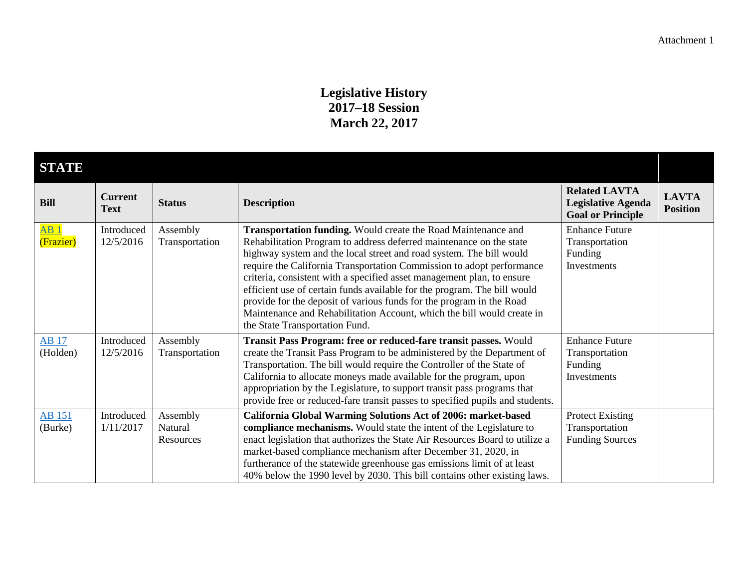#### **Legislative History 2017–18 Session March 22, 2017**

| <b>STATE</b>             |                               |                                  |                                                                                                                                                                                                                                                                                                                                                                                                                                                                                                                                                                                                                                |                                                                               |                                 |  |
|--------------------------|-------------------------------|----------------------------------|--------------------------------------------------------------------------------------------------------------------------------------------------------------------------------------------------------------------------------------------------------------------------------------------------------------------------------------------------------------------------------------------------------------------------------------------------------------------------------------------------------------------------------------------------------------------------------------------------------------------------------|-------------------------------------------------------------------------------|---------------------------------|--|
| <b>Bill</b>              | <b>Current</b><br><b>Text</b> | <b>Status</b>                    | <b>Description</b>                                                                                                                                                                                                                                                                                                                                                                                                                                                                                                                                                                                                             | <b>Related LAVTA</b><br><b>Legislative Agenda</b><br><b>Goal or Principle</b> | <b>LAVTA</b><br><b>Position</b> |  |
| AB1<br>(Frazier)         | Introduced<br>12/5/2016       | Assembly<br>Transportation       | Transportation funding. Would create the Road Maintenance and<br>Rehabilitation Program to address deferred maintenance on the state<br>highway system and the local street and road system. The bill would<br>require the California Transportation Commission to adopt performance<br>criteria, consistent with a specified asset management plan, to ensure<br>efficient use of certain funds available for the program. The bill would<br>provide for the deposit of various funds for the program in the Road<br>Maintenance and Rehabilitation Account, which the bill would create in<br>the State Transportation Fund. | <b>Enhance Future</b><br>Transportation<br>Funding<br>Investments             |                                 |  |
| <b>AB</b> 17<br>(Holden) | Introduced<br>12/5/2016       | Assembly<br>Transportation       | Transit Pass Program: free or reduced-fare transit passes. Would<br>create the Transit Pass Program to be administered by the Department of<br>Transportation. The bill would require the Controller of the State of<br>California to allocate moneys made available for the program, upon<br>appropriation by the Legislature, to support transit pass programs that<br>provide free or reduced-fare transit passes to specified pupils and students.                                                                                                                                                                         | <b>Enhance Future</b><br>Transportation<br>Funding<br>Investments             |                                 |  |
| <b>AB</b> 151<br>(Burke) | Introduced<br>1/11/2017       | Assembly<br>Natural<br>Resources | California Global Warming Solutions Act of 2006: market-based<br>compliance mechanisms. Would state the intent of the Legislature to<br>enact legislation that authorizes the State Air Resources Board to utilize a<br>market-based compliance mechanism after December 31, 2020, in<br>furtherance of the statewide greenhouse gas emissions limit of at least<br>40% below the 1990 level by 2030. This bill contains other existing laws.                                                                                                                                                                                  | <b>Protect Existing</b><br>Transportation<br><b>Funding Sources</b>           |                                 |  |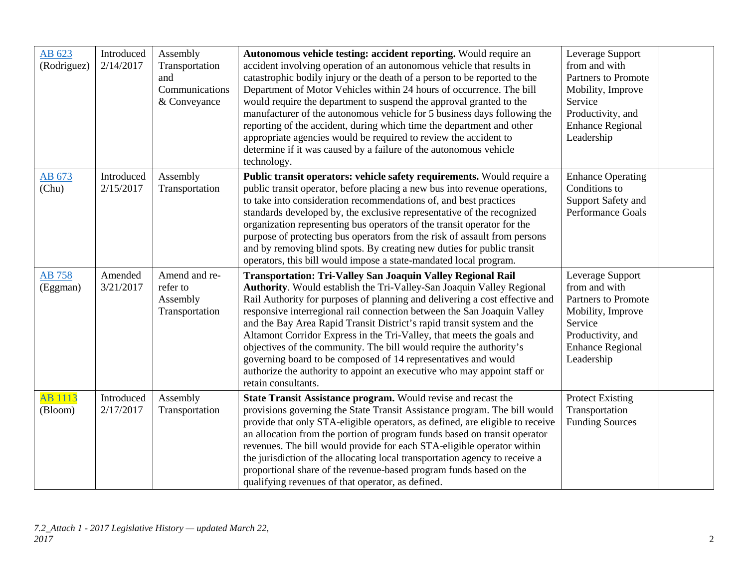| AB 623<br>(Rodriguez)     | Introduced<br>2/14/2017 | Assembly<br>Transportation<br>and<br>Communications<br>& Conveyance | Autonomous vehicle testing: accident reporting. Would require an<br>accident involving operation of an autonomous vehicle that results in<br>catastrophic bodily injury or the death of a person to be reported to the<br>Department of Motor Vehicles within 24 hours of occurrence. The bill<br>would require the department to suspend the approval granted to the<br>manufacturer of the autonomous vehicle for 5 business days following the<br>reporting of the accident, during which time the department and other<br>appropriate agencies would be required to review the accident to<br>determine if it was caused by a failure of the autonomous vehicle<br>technology.                   | Leverage Support<br>from and with<br>Partners to Promote<br>Mobility, Improve<br>Service<br>Productivity, and<br><b>Enhance Regional</b><br>Leadership |  |
|---------------------------|-------------------------|---------------------------------------------------------------------|------------------------------------------------------------------------------------------------------------------------------------------------------------------------------------------------------------------------------------------------------------------------------------------------------------------------------------------------------------------------------------------------------------------------------------------------------------------------------------------------------------------------------------------------------------------------------------------------------------------------------------------------------------------------------------------------------|--------------------------------------------------------------------------------------------------------------------------------------------------------|--|
| AB 673<br>(Chu)           | Introduced<br>2/15/2017 | Assembly<br>Transportation                                          | Public transit operators: vehicle safety requirements. Would require a<br>public transit operator, before placing a new bus into revenue operations,<br>to take into consideration recommendations of, and best practices<br>standards developed by, the exclusive representative of the recognized<br>organization representing bus operators of the transit operator for the<br>purpose of protecting bus operators from the risk of assault from persons<br>and by removing blind spots. By creating new duties for public transit<br>operators, this bill would impose a state-mandated local program.                                                                                           | <b>Enhance Operating</b><br>Conditions to<br>Support Safety and<br>Performance Goals                                                                   |  |
| <b>AB 758</b><br>(Eggman) | Amended<br>3/21/2017    | Amend and re-<br>refer to<br>Assembly<br>Transportation             | <b>Transportation: Tri-Valley San Joaquin Valley Regional Rail</b><br>Authority. Would establish the Tri-Valley-San Joaquin Valley Regional<br>Rail Authority for purposes of planning and delivering a cost effective and<br>responsive interregional rail connection between the San Joaquin Valley<br>and the Bay Area Rapid Transit District's rapid transit system and the<br>Altamont Corridor Express in the Tri-Valley, that meets the goals and<br>objectives of the community. The bill would require the authority's<br>governing board to be composed of 14 representatives and would<br>authorize the authority to appoint an executive who may appoint staff or<br>retain consultants. | Leverage Support<br>from and with<br>Partners to Promote<br>Mobility, Improve<br>Service<br>Productivity, and<br><b>Enhance Regional</b><br>Leadership |  |
| AB 1113<br>(Bloom)        | Introduced<br>2/17/2017 | Assembly<br>Transportation                                          | State Transit Assistance program. Would revise and recast the<br>provisions governing the State Transit Assistance program. The bill would<br>provide that only STA-eligible operators, as defined, are eligible to receive<br>an allocation from the portion of program funds based on transit operator<br>revenues. The bill would provide for each STA-eligible operator within<br>the jurisdiction of the allocating local transportation agency to receive a<br>proportional share of the revenue-based program funds based on the<br>qualifying revenues of that operator, as defined.                                                                                                         | <b>Protect Existing</b><br>Transportation<br><b>Funding Sources</b>                                                                                    |  |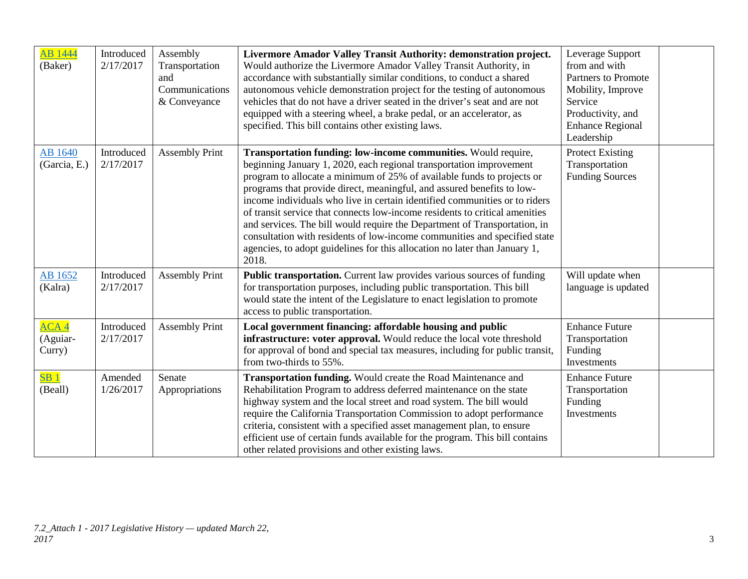| AB 1444<br>(Baker)                     | Introduced<br>2/17/2017 | Assembly<br>Transportation<br>and<br>Communications<br>& Conveyance | Livermore Amador Valley Transit Authority: demonstration project.<br>Would authorize the Livermore Amador Valley Transit Authority, in<br>accordance with substantially similar conditions, to conduct a shared<br>autonomous vehicle demonstration project for the testing of autonomous<br>vehicles that do not have a driver seated in the driver's seat and are not<br>equipped with a steering wheel, a brake pedal, or an accelerator, as<br>specified. This bill contains other existing laws.                                                                                                                                                                                                   | Leverage Support<br>from and with<br><b>Partners to Promote</b><br>Mobility, Improve<br>Service<br>Productivity, and<br><b>Enhance Regional</b><br>Leadership |  |
|----------------------------------------|-------------------------|---------------------------------------------------------------------|---------------------------------------------------------------------------------------------------------------------------------------------------------------------------------------------------------------------------------------------------------------------------------------------------------------------------------------------------------------------------------------------------------------------------------------------------------------------------------------------------------------------------------------------------------------------------------------------------------------------------------------------------------------------------------------------------------|---------------------------------------------------------------------------------------------------------------------------------------------------------------|--|
| <b>AB</b> 1640<br>(Garcia, E.)         | Introduced<br>2/17/2017 | <b>Assembly Print</b>                                               | Transportation funding: low-income communities. Would require,<br>beginning January 1, 2020, each regional transportation improvement<br>program to allocate a minimum of 25% of available funds to projects or<br>programs that provide direct, meaningful, and assured benefits to low-<br>income individuals who live in certain identified communities or to riders<br>of transit service that connects low-income residents to critical amenities<br>and services. The bill would require the Department of Transportation, in<br>consultation with residents of low-income communities and specified state<br>agencies, to adopt guidelines for this allocation no later than January 1,<br>2018. | <b>Protect Existing</b><br>Transportation<br><b>Funding Sources</b>                                                                                           |  |
| AB 1652<br>(Kalra)                     | Introduced<br>2/17/2017 | <b>Assembly Print</b>                                               | Public transportation. Current law provides various sources of funding<br>for transportation purposes, including public transportation. This bill<br>would state the intent of the Legislature to enact legislation to promote<br>access to public transportation.                                                                                                                                                                                                                                                                                                                                                                                                                                      | Will update when<br>language is updated                                                                                                                       |  |
| ACA <sub>4</sub><br>(Aguiar-<br>Curry) | Introduced<br>2/17/2017 | <b>Assembly Print</b>                                               | Local government financing: affordable housing and public<br>infrastructure: voter approval. Would reduce the local vote threshold<br>for approval of bond and special tax measures, including for public transit,<br>from two-thirds to 55%.                                                                                                                                                                                                                                                                                                                                                                                                                                                           | <b>Enhance Future</b><br>Transportation<br>Funding<br>Investments                                                                                             |  |
| SB <sub>1</sub><br>(Beall)             | Amended<br>1/26/2017    | Senate<br>Appropriations                                            | Transportation funding. Would create the Road Maintenance and<br>Rehabilitation Program to address deferred maintenance on the state<br>highway system and the local street and road system. The bill would<br>require the California Transportation Commission to adopt performance<br>criteria, consistent with a specified asset management plan, to ensure<br>efficient use of certain funds available for the program. This bill contains<br>other related provisions and other existing laws.                                                                                                                                                                                                     | <b>Enhance Future</b><br>Transportation<br>Funding<br>Investments                                                                                             |  |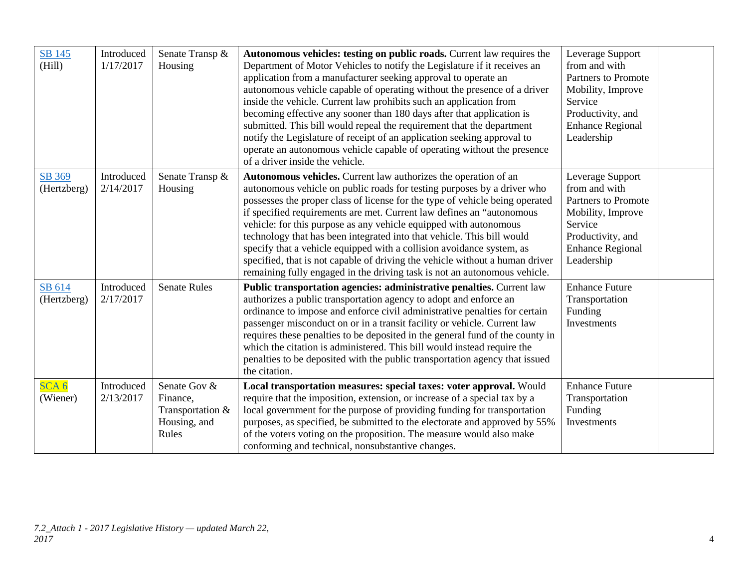| <b>SB 145</b><br>(Hill)      | Introduced<br>1/17/2017 | Senate Transp &<br>Housing                                            | Autonomous vehicles: testing on public roads. Current law requires the<br>Department of Motor Vehicles to notify the Legislature if it receives an<br>application from a manufacturer seeking approval to operate an<br>autonomous vehicle capable of operating without the presence of a driver<br>inside the vehicle. Current law prohibits such an application from<br>becoming effective any sooner than 180 days after that application is<br>submitted. This bill would repeal the requirement that the department<br>notify the Legislature of receipt of an application seeking approval to<br>operate an autonomous vehicle capable of operating without the presence<br>of a driver inside the vehicle. | Leverage Support<br>from and with<br><b>Partners to Promote</b><br>Mobility, Improve<br>Service<br>Productivity, and<br><b>Enhance Regional</b><br>Leadership |  |
|------------------------------|-------------------------|-----------------------------------------------------------------------|-------------------------------------------------------------------------------------------------------------------------------------------------------------------------------------------------------------------------------------------------------------------------------------------------------------------------------------------------------------------------------------------------------------------------------------------------------------------------------------------------------------------------------------------------------------------------------------------------------------------------------------------------------------------------------------------------------------------|---------------------------------------------------------------------------------------------------------------------------------------------------------------|--|
| SB 369<br>(Hertzberg)        | Introduced<br>2/14/2017 | Senate Transp &<br>Housing                                            | Autonomous vehicles. Current law authorizes the operation of an<br>autonomous vehicle on public roads for testing purposes by a driver who<br>possesses the proper class of license for the type of vehicle being operated<br>if specified requirements are met. Current law defines an "autonomous"<br>vehicle: for this purpose as any vehicle equipped with autonomous<br>technology that has been integrated into that vehicle. This bill would<br>specify that a vehicle equipped with a collision avoidance system, as<br>specified, that is not capable of driving the vehicle without a human driver<br>remaining fully engaged in the driving task is not an autonomous vehicle.                         | Leverage Support<br>from and with<br>Partners to Promote<br>Mobility, Improve<br>Service<br>Productivity, and<br><b>Enhance Regional</b><br>Leadership        |  |
| SB 614<br>(Hertzberg)        | Introduced<br>2/17/2017 | <b>Senate Rules</b>                                                   | Public transportation agencies: administrative penalties. Current law<br>authorizes a public transportation agency to adopt and enforce an<br>ordinance to impose and enforce civil administrative penalties for certain<br>passenger misconduct on or in a transit facility or vehicle. Current law<br>requires these penalties to be deposited in the general fund of the county in<br>which the citation is administered. This bill would instead require the<br>penalties to be deposited with the public transportation agency that issued<br>the citation.                                                                                                                                                  | <b>Enhance Future</b><br>Transportation<br>Funding<br>Investments                                                                                             |  |
| SCA <sub>6</sub><br>(Wiener) | Introduced<br>2/13/2017 | Senate Gov &<br>Finance,<br>Transportation &<br>Housing, and<br>Rules | Local transportation measures: special taxes: voter approval. Would<br>require that the imposition, extension, or increase of a special tax by a<br>local government for the purpose of providing funding for transportation<br>purposes, as specified, be submitted to the electorate and approved by 55%<br>of the voters voting on the proposition. The measure would also make<br>conforming and technical, nonsubstantive changes.                                                                                                                                                                                                                                                                           | <b>Enhance Future</b><br>Transportation<br>Funding<br>Investments                                                                                             |  |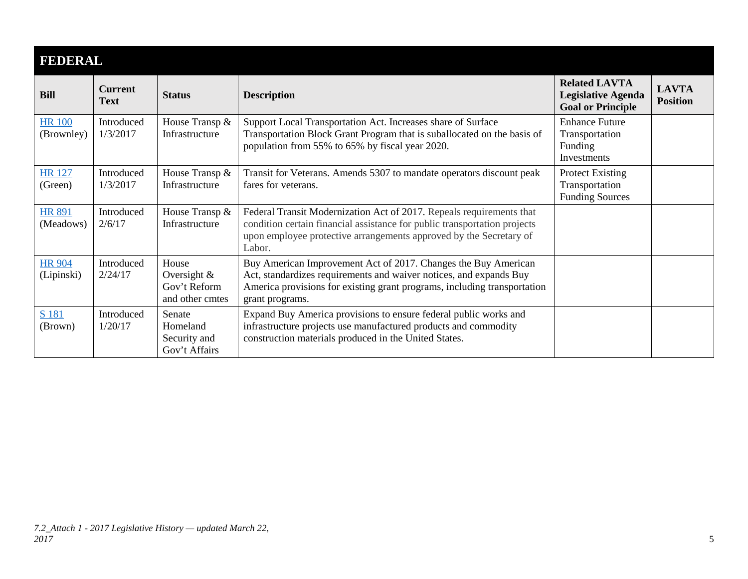| <b>FEDERAL</b>              |                               |                                                           |                                                                                                                                                                                                                                     |                                                                               |                                 |  |
|-----------------------------|-------------------------------|-----------------------------------------------------------|-------------------------------------------------------------------------------------------------------------------------------------------------------------------------------------------------------------------------------------|-------------------------------------------------------------------------------|---------------------------------|--|
| <b>Bill</b>                 | <b>Current</b><br><b>Text</b> | <b>Status</b>                                             | <b>Description</b>                                                                                                                                                                                                                  | <b>Related LAVTA</b><br><b>Legislative Agenda</b><br><b>Goal or Principle</b> | <b>LAVTA</b><br><b>Position</b> |  |
| <b>HR 100</b><br>(Brownley) | Introduced<br>1/3/2017        | House Transp &<br>Infrastructure                          | Support Local Transportation Act. Increases share of Surface<br>Transportation Block Grant Program that is suballocated on the basis of<br>population from 55% to 65% by fiscal year 2020.                                          | <b>Enhance Future</b><br>Transportation<br>Funding<br>Investments             |                                 |  |
| <b>HR</b> 127<br>(Green)    | Introduced<br>1/3/2017        | House Transp &<br>Infrastructure                          | Transit for Veterans. Amends 5307 to mandate operators discount peak<br>fares for veterans.                                                                                                                                         | <b>Protect Existing</b><br>Transportation<br><b>Funding Sources</b>           |                                 |  |
| <b>HR 891</b><br>(Meadows)  | Introduced<br>2/6/17          | House Transp &<br>Infrastructure                          | Federal Transit Modernization Act of 2017. Repeals requirements that<br>condition certain financial assistance for public transportation projects<br>upon employee protective arrangements approved by the Secretary of<br>Labor.   |                                                                               |                                 |  |
| <b>HR 904</b><br>(Lipinski) | Introduced<br>2/24/17         | House<br>Oversight $&$<br>Gov't Reform<br>and other cmtes | Buy American Improvement Act of 2017. Changes the Buy American<br>Act, standardizes requirements and waiver notices, and expands Buy<br>America provisions for existing grant programs, including transportation<br>grant programs. |                                                                               |                                 |  |
| S 181<br>(Brown)            | Introduced<br>1/20/17         | Senate<br>Homeland<br>Security and<br>Gov't Affairs       | Expand Buy America provisions to ensure federal public works and<br>infrastructure projects use manufactured products and commodity<br>construction materials produced in the United States.                                        |                                                                               |                                 |  |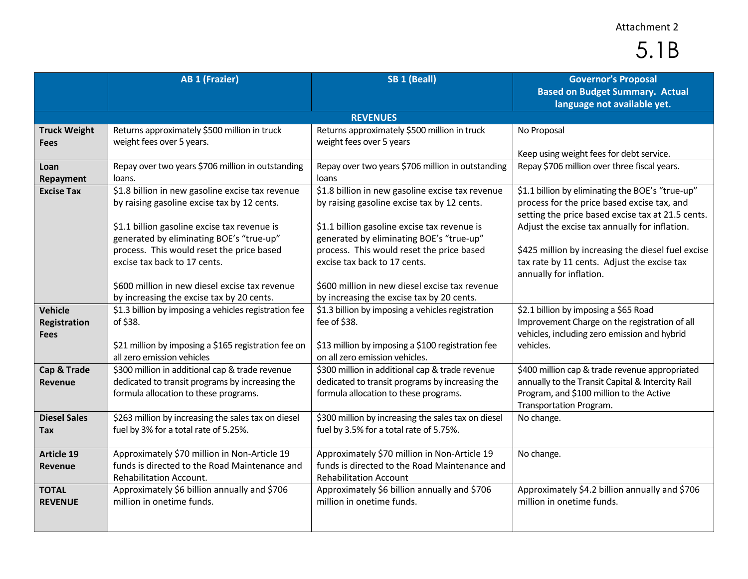### Attachment 2

# 5.1B

|                                                      | <b>AB 1 (Frazier)</b>                                                                                                                                                                                                                                                    | SB <sub>1</sub> (Beall)                                                                                                                                                                                                                                                  | <b>Governor's Proposal</b><br><b>Based on Budget Summary. Actual</b><br>language not available yet.                                                                                                                                                                                                                                   |
|------------------------------------------------------|--------------------------------------------------------------------------------------------------------------------------------------------------------------------------------------------------------------------------------------------------------------------------|--------------------------------------------------------------------------------------------------------------------------------------------------------------------------------------------------------------------------------------------------------------------------|---------------------------------------------------------------------------------------------------------------------------------------------------------------------------------------------------------------------------------------------------------------------------------------------------------------------------------------|
|                                                      |                                                                                                                                                                                                                                                                          | <b>REVENUES</b>                                                                                                                                                                                                                                                          |                                                                                                                                                                                                                                                                                                                                       |
| <b>Truck Weight</b><br>Fees                          | Returns approximately \$500 million in truck<br>weight fees over 5 years.                                                                                                                                                                                                | Returns approximately \$500 million in truck<br>weight fees over 5 years                                                                                                                                                                                                 | No Proposal<br>Keep using weight fees for debt service.                                                                                                                                                                                                                                                                               |
| Loan<br>Repayment                                    | Repay over two years \$706 million in outstanding<br>loans.                                                                                                                                                                                                              | Repay over two years \$706 million in outstanding<br>loans                                                                                                                                                                                                               | Repay \$706 million over three fiscal years.                                                                                                                                                                                                                                                                                          |
| <b>Excise Tax</b>                                    | \$1.8 billion in new gasoline excise tax revenue<br>by raising gasoline excise tax by 12 cents.<br>\$1.1 billion gasoline excise tax revenue is<br>generated by eliminating BOE's "true-up"<br>process. This would reset the price based<br>excise tax back to 17 cents. | \$1.8 billion in new gasoline excise tax revenue<br>by raising gasoline excise tax by 12 cents.<br>\$1.1 billion gasoline excise tax revenue is<br>generated by eliminating BOE's "true-up"<br>process. This would reset the price based<br>excise tax back to 17 cents. | \$1.1 billion by eliminating the BOE's "true-up"<br>process for the price based excise tax, and<br>setting the price based excise tax at 21.5 cents.<br>Adjust the excise tax annually for inflation.<br>\$425 million by increasing the diesel fuel excise<br>tax rate by 11 cents. Adjust the excise tax<br>annually for inflation. |
|                                                      | \$600 million in new diesel excise tax revenue<br>by increasing the excise tax by 20 cents.                                                                                                                                                                              | \$600 million in new diesel excise tax revenue<br>by increasing the excise tax by 20 cents.                                                                                                                                                                              |                                                                                                                                                                                                                                                                                                                                       |
| <b>Vehicle</b><br><b>Registration</b><br><b>Fees</b> | \$1.3 billion by imposing a vehicles registration fee<br>of \$38.<br>\$21 million by imposing a \$165 registration fee on<br>all zero emission vehicles                                                                                                                  | \$1.3 billion by imposing a vehicles registration<br>fee of \$38.<br>\$13 million by imposing a \$100 registration fee<br>on all zero emission vehicles.                                                                                                                 | \$2.1 billion by imposing a \$65 Road<br>Improvement Charge on the registration of all<br>vehicles, including zero emission and hybrid<br>vehicles.                                                                                                                                                                                   |
| Cap & Trade<br>Revenue                               | \$300 million in additional cap & trade revenue<br>dedicated to transit programs by increasing the<br>formula allocation to these programs.                                                                                                                              | \$300 million in additional cap & trade revenue<br>dedicated to transit programs by increasing the<br>formula allocation to these programs.                                                                                                                              | \$400 million cap & trade revenue appropriated<br>annually to the Transit Capital & Intercity Rail<br>Program, and \$100 million to the Active<br>Transportation Program.                                                                                                                                                             |
| <b>Diesel Sales</b><br>Tax                           | \$263 million by increasing the sales tax on diesel<br>fuel by 3% for a total rate of 5.25%.                                                                                                                                                                             | \$300 million by increasing the sales tax on diesel<br>fuel by 3.5% for a total rate of 5.75%.                                                                                                                                                                           | No change.                                                                                                                                                                                                                                                                                                                            |
| <b>Article 19</b><br><b>Revenue</b>                  | Approximately \$70 million in Non-Article 19<br>funds is directed to the Road Maintenance and<br>Rehabilitation Account.                                                                                                                                                 | Approximately \$70 million in Non-Article 19<br>funds is directed to the Road Maintenance and<br><b>Rehabilitation Account</b>                                                                                                                                           | No change.                                                                                                                                                                                                                                                                                                                            |
| <b>TOTAL</b><br><b>REVENUE</b>                       | Approximately \$6 billion annually and \$706<br>million in onetime funds.                                                                                                                                                                                                | Approximately \$6 billion annually and \$706<br>million in onetime funds.                                                                                                                                                                                                | Approximately \$4.2 billion annually and \$706<br>million in onetime funds.                                                                                                                                                                                                                                                           |